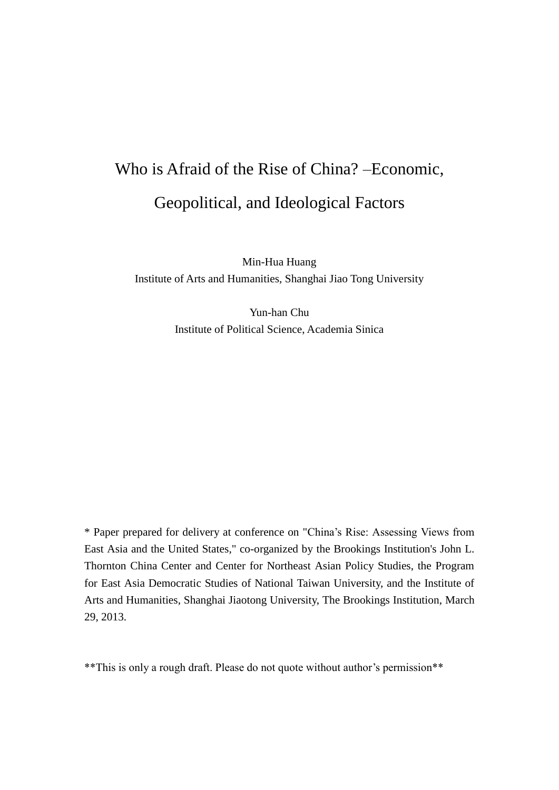# Who is Afraid of the Rise of China? –Economic, Geopolitical, and Ideological Factors

Min-Hua Huang Institute of Arts and Humanities, Shanghai Jiao Tong University

> Yun-han Chu Institute of Political Science, Academia Sinica

\* Paper prepared for delivery at conference on "China's Rise: Assessing Views from East Asia and the United States," co-organized by the Brookings Institution's John L. Thornton China Center and Center for Northeast Asian Policy Studies, the Program for East Asia Democratic Studies of National Taiwan University, and the Institute of Arts and Humanities, Shanghai Jiaotong University, The Brookings Institution, March 29, 2013.

\*\*This is only a rough draft. Please do not quote without author's permission\*\*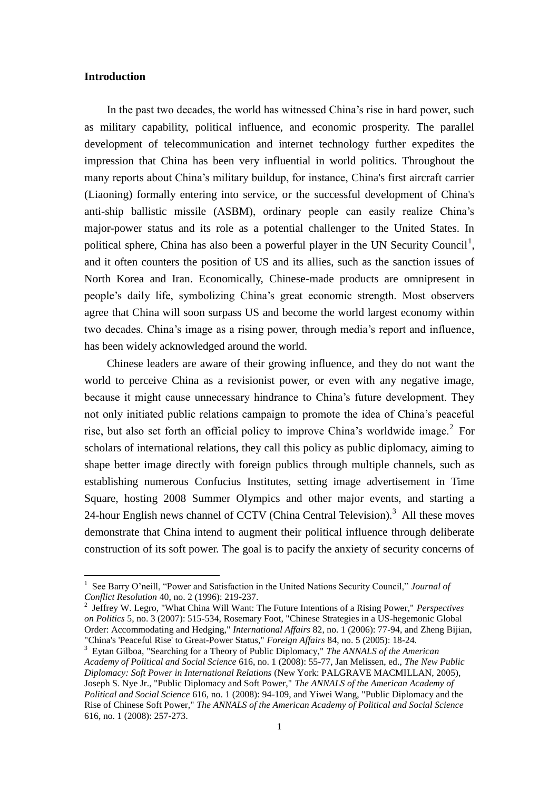# **Introduction**

 $\overline{a}$ 

In the past two decades, the world has witnessed China's rise in hard power, such as military capability, political influence, and economic prosperity. The parallel development of telecommunication and internet technology further expedites the impression that China has been very influential in world politics. Throughout the many reports about China's military buildup, for instance, China's first aircraft carrier (Liaoning) formally entering into service, or the successful development of China's anti-ship ballistic missile (ASBM), ordinary people can easily realize China's major-power status and its role as a potential challenger to the United States. In political sphere, China has also been a powerful player in the UN Security Council<sup>1</sup>, and it often counters the position of US and its allies, such as the sanction issues of North Korea and Iran. Economically, Chinese-made products are omnipresent in people's daily life, symbolizing China's great economic strength. Most observers agree that China will soon surpass US and become the world largest economy within two decades. China's image as a rising power, through media's report and influence, has been widely acknowledged around the world.

Chinese leaders are aware of their growing influence, and they do not want the world to perceive China as a revisionist power, or even with any negative image, because it might cause unnecessary hindrance to China's future development. They not only initiated public relations campaign to promote the idea of China's peaceful rise, but also set forth an official policy to improve China's worldwide image.<sup>2</sup> For scholars of international relations, they call this policy as public diplomacy, aiming to shape better image directly with foreign publics through multiple channels, such as establishing numerous Confucius Institutes, setting image advertisement in Time Square, hosting 2008 Summer Olympics and other major events, and starting a 24-hour English news channel of CCTV (China Central Television).<sup>3</sup> All these moves demonstrate that China intend to augment their political influence through deliberate construction of its soft power. The goal is to pacify the anxiety of security concerns of

<sup>&</sup>lt;sup>1</sup> See Barry O'neill, "Power and Satisfaction in the United Nations Security Council," Journal of *Conflict Resolution* 40, no. 2 (1996): 219-237.

<sup>2</sup> Jeffrey W. Legro, "What China Will Want: The Future Intentions of a Rising Power," *Perspectives on Politics* 5, no. 3 (2007): 515-534, Rosemary Foot, "Chinese Strategies in a US-hegemonic Global Order: Accommodating and Hedging," *International Affairs* 82, no. 1 (2006): 77-94, and Zheng Bijian, "China's 'Peaceful Rise' to Great-Power Status," *Foreign Affairs* 84, no. 5 (2005): 18-24.

<sup>3</sup> Eytan Gilboa, "Searching for a Theory of Public Diplomacy," *The ANNALS of the American Academy of Political and Social Science* 616, no. 1 (2008): 55-77, Jan Melissen, ed., *The New Public Diplomacy: Soft Power in International Relations* (New York: PALGRAVE MACMILLAN, 2005), Joseph S. Nye Jr., "Public Diplomacy and Soft Power," *The ANNALS of the American Academy of Political and Social Science* 616, no. 1 (2008): 94-109, and Yiwei Wang, "Public Diplomacy and the Rise of Chinese Soft Power," *The ANNALS of the American Academy of Political and Social Science*  616, no. 1 (2008): 257-273.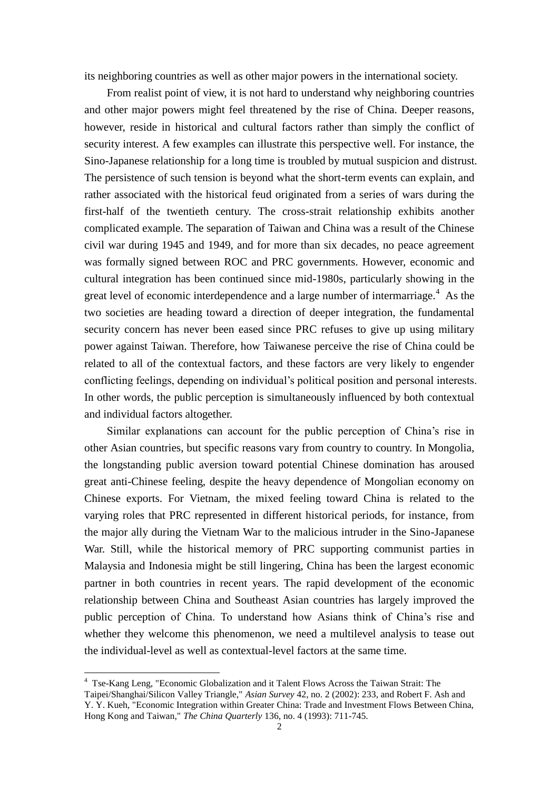its neighboring countries as well as other major powers in the international society.

From realist point of view, it is not hard to understand why neighboring countries and other major powers might feel threatened by the rise of China. Deeper reasons, however, reside in historical and cultural factors rather than simply the conflict of security interest. A few examples can illustrate this perspective well. For instance, the Sino-Japanese relationship for a long time is troubled by mutual suspicion and distrust. The persistence of such tension is beyond what the short-term events can explain, and rather associated with the historical feud originated from a series of wars during the first-half of the twentieth century. The cross-strait relationship exhibits another complicated example. The separation of Taiwan and China was a result of the Chinese civil war during 1945 and 1949, and for more than six decades, no peace agreement was formally signed between ROC and PRC governments. However, economic and cultural integration has been continued since mid-1980s, particularly showing in the great level of economic interdependence and a large number of intermarriage.<sup>4</sup> As the two societies are heading toward a direction of deeper integration, the fundamental security concern has never been eased since PRC refuses to give up using military power against Taiwan. Therefore, how Taiwanese perceive the rise of China could be related to all of the contextual factors, and these factors are very likely to engender conflicting feelings, depending on individual's political position and personal interests. In other words, the public perception is simultaneously influenced by both contextual and individual factors altogether.

Similar explanations can account for the public perception of China's rise in other Asian countries, but specific reasons vary from country to country. In Mongolia, the longstanding public aversion toward potential Chinese domination has aroused great anti-Chinese feeling, despite the heavy dependence of Mongolian economy on Chinese exports. For Vietnam, the mixed feeling toward China is related to the varying roles that PRC represented in different historical periods, for instance, from the major ally during the Vietnam War to the malicious intruder in the Sino-Japanese War. Still, while the historical memory of PRC supporting communist parties in Malaysia and Indonesia might be still lingering, China has been the largest economic partner in both countries in recent years. The rapid development of the economic relationship between China and Southeast Asian countries has largely improved the public perception of China. To understand how Asians think of China's rise and whether they welcome this phenomenon, we need a multilevel analysis to tease out the individual-level as well as contextual-level factors at the same time.

 $\overline{a}$ 

<sup>4</sup> Tse-Kang Leng, "Economic Globalization and it Talent Flows Across the Taiwan Strait: The Taipei/Shanghai/Silicon Valley Triangle," *Asian Survey* 42, no. 2 (2002): 233, and Robert F. Ash and Y. Y. Kueh, "Economic Integration within Greater China: Trade and Investment Flows Between China, Hong Kong and Taiwan," *The China Quarterly* 136, no. 4 (1993): 711-745.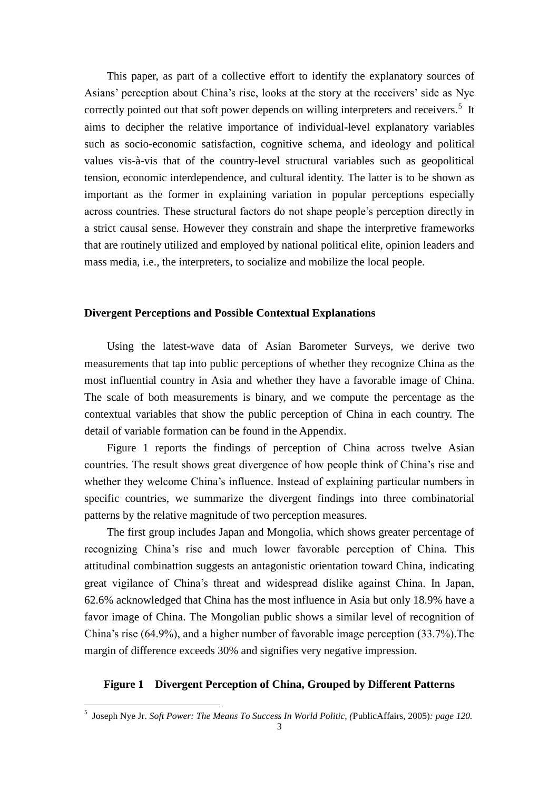This paper, as part of a collective effort to identify the explanatory sources of Asians' perception about China's rise, looks at the story at the receivers' side as Nye correctly pointed out that soft power depends on willing interpreters and receivers.<sup>5</sup> It aims to decipher the relative importance of individual-level explanatory variables such as socio-economic satisfaction, cognitive schema, and ideology and political values vis-à-vis that of the country-level structural variables such as geopolitical tension, economic interdependence, and cultural identity. The latter is to be shown as important as the former in explaining variation in popular perceptions especially across countries. These structural factors do not shape people's perception directly in a strict causal sense. However they constrain and shape the interpretive frameworks that are routinely utilized and employed by national political elite, opinion leaders and mass media, i.e., the interpreters, to socialize and mobilize the local people.

## **Divergent Perceptions and Possible Contextual Explanations**

Using the latest-wave data of Asian Barometer Surveys, we derive two measurements that tap into public perceptions of whether they recognize China as the most influential country in Asia and whether they have a favorable image of China. The scale of both measurements is binary, and we compute the percentage as the contextual variables that show the public perception of China in each country. The detail of variable formation can be found in the Appendix.

Figure 1 reports the findings of perception of China across twelve Asian countries. The result shows great divergence of how people think of China's rise and whether they welcome China's influence. Instead of explaining particular numbers in specific countries, we summarize the divergent findings into three combinatorial patterns by the relative magnitude of two perception measures.

The first group includes Japan and Mongolia, which shows greater percentage of recognizing China's rise and much lower favorable perception of China. This attitudinal combinattion suggests an antagonistic orientation toward China, indicating great vigilance of China's threat and widespread dislike against China. In Japan, 62.6% acknowledged that China has the most influence in Asia but only 18.9% have a favor image of China. The Mongolian public shows a similar level of recognition of China's rise (64.9%), and a higher number of favorable image perception (33.7%).The margin of difference exceeds 30% and signifies very negative impression.

# **Figure 1 Divergent Perception of China, Grouped by Different Patterns**

 5 Joseph Nye Jr. *Soft Power: The Means To Success In World Politic, (*PublicAffairs, 2005)*: page 120.*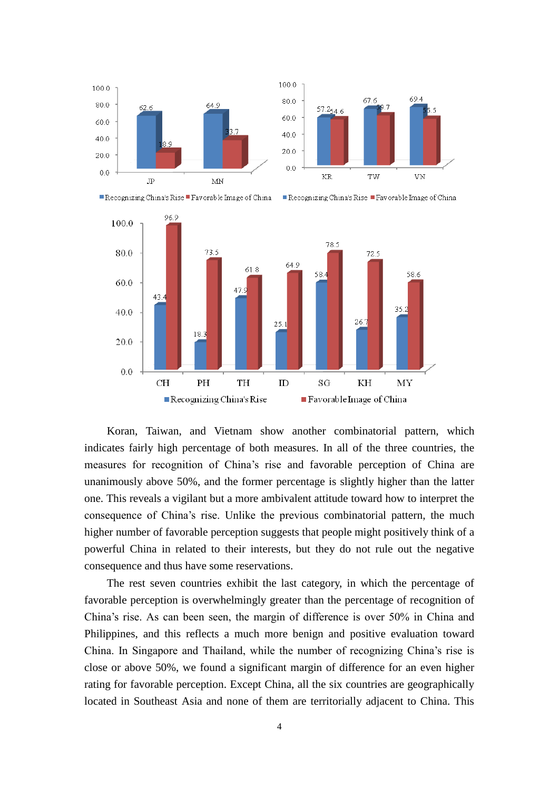





Recognizing China's Rise Favorable Image of China



Koran, Taiwan, and Vietnam show another combinatorial pattern, which indicates fairly high percentage of both measures. In all of the three countries, the measures for recognition of China's rise and favorable perception of China are unanimously above 50%, and the former percentage is slightly higher than the latter one. This reveals a vigilant but a more ambivalent attitude toward how to interpret the consequence of China's rise. Unlike the previous combinatorial pattern, the much higher number of favorable perception suggests that people might positively think of a powerful China in related to their interests, but they do not rule out the negative consequence and thus have some reservations.

The rest seven countries exhibit the last category, in which the percentage of favorable perception is overwhelmingly greater than the percentage of recognition of China's rise. As can been seen, the margin of difference is over 50% in China and Philippines, and this reflects a much more benign and positive evaluation toward China. In Singapore and Thailand, while the number of recognizing China's rise is close or above 50%, we found a significant margin of difference for an even higher rating for favorable perception. Except China, all the six countries are geographically located in Southeast Asia and none of them are territorially adjacent to China. This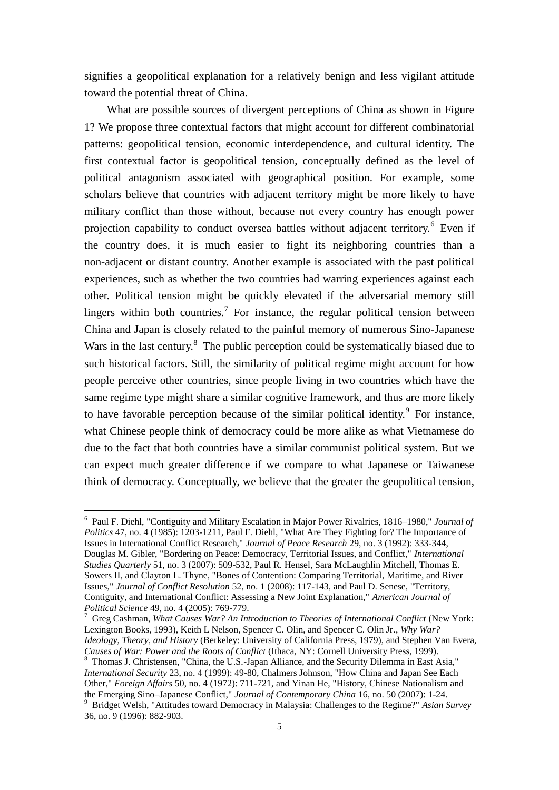signifies a geopolitical explanation for a relatively benign and less vigilant attitude toward the potential threat of China.

What are possible sources of divergent perceptions of China as shown in Figure 1? We propose three contextual factors that might account for different combinatorial patterns: geopolitical tension, economic interdependence, and cultural identity. The first contextual factor is geopolitical tension, conceptually defined as the level of political antagonism associated with geographical position. For example, some scholars believe that countries with adjacent territory might be more likely to have military conflict than those without, because not every country has enough power projection capability to conduct oversea battles without adjacent territory.<sup>6</sup> Even if the country does, it is much easier to fight its neighboring countries than a non-adjacent or distant country. Another example is associated with the past political experiences, such as whether the two countries had warring experiences against each other. Political tension might be quickly elevated if the adversarial memory still lingers within both countries.<sup>7</sup> For instance, the regular political tension between China and Japan is closely related to the painful memory of numerous Sino-Japanese Wars in the last century.<sup>8</sup> The public perception could be systematically biased due to such historical factors. Still, the similarity of political regime might account for how people perceive other countries, since people living in two countries which have the same regime type might share a similar cognitive framework, and thus are more likely to have favorable perception because of the similar political identity.  $9$  For instance, what Chinese people think of democracy could be more alike as what Vietnamese do due to the fact that both countries have a similar communist political system. But we can expect much greater difference if we compare to what Japanese or Taiwanese think of democracy. Conceptually, we believe that the greater the geopolitical tension,

 6 Paul F. Diehl, "Contiguity and Military Escalation in Major Power Rivalries, 1816–1980," *Journal of Politics* 47, no. 4 (1985): 1203-1211, Paul F. Diehl, "What Are They Fighting for? The Importance of Issues in International Conflict Research," *Journal of Peace Research* 29, no. 3 (1992): 333-344, Douglas M. Gibler, "Bordering on Peace: Democracy, Territorial Issues, and Conflict," *International Studies Quarterly* 51, no. 3 (2007): 509-532, Paul R. Hensel, Sara McLaughlin Mitchell, Thomas E. Sowers II, and Clayton L. Thyne, "Bones of Contention: Comparing Territorial, Maritime, and River Issues," *Journal of Conflict Resolution* 52, no. 1 (2008): 117-143, and Paul D. Senese, "Territory, Contiguity, and International Conflict: Assessing a New Joint Explanation," *American Journal of Political Science* 49, no. 4 (2005): 769-779.

<sup>7</sup> Greg Cashman, *What Causes War? An Introduction to Theories of International Conflict* (New York: Lexington Books, 1993), Keith L Nelson, Spencer C. Olin, and Spencer C. Olin Jr., *Why War? Ideology, Theory, and History* (Berkeley: University of California Press, 1979), and Stephen Van Evera, *Causes of War: Power and the Roots of Conflict* (Ithaca, NY: Cornell University Press, 1999).

<sup>&</sup>lt;sup>8</sup> Thomas J. Christensen, "China, the U.S.-Japan Alliance, and the Security Dilemma in East Asia," *International Security* 23, no. 4 (1999): 49-80, Chalmers Johnson, "How China and Japan See Each Other," *Foreign Affairs* 50, no. 4 (1972): 711-721, and Yinan He, "History, Chinese Nationalism and the Emerging Sino–Japanese Conflict," *Journal of Contemporary China* 16, no. 50 (2007): 1-24. <sup>9</sup> Bridget Welsh, "Attitudes toward Democracy in Malaysia: Challenges to the Regime?" *Asian Survey*  36, no. 9 (1996): 882-903.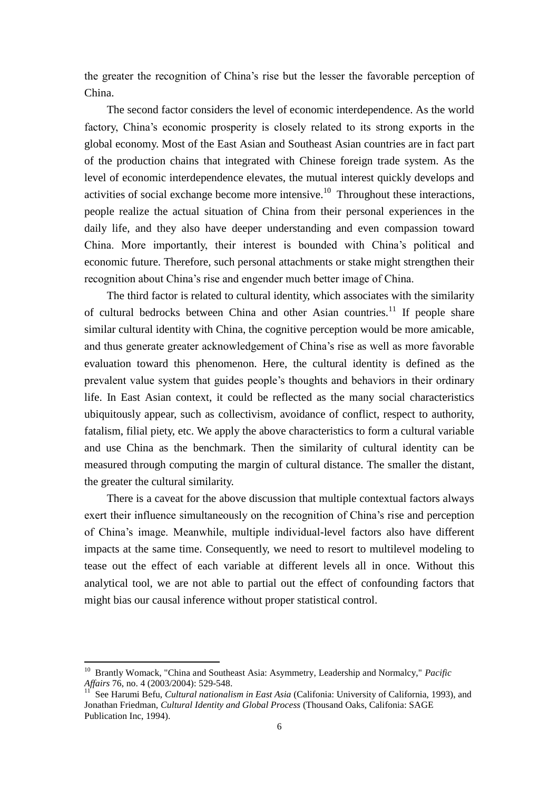the greater the recognition of China's rise but the lesser the favorable perception of China.

The second factor considers the level of economic interdependence. As the world factory, China's economic prosperity is closely related to its strong exports in the global economy. Most of the East Asian and Southeast Asian countries are in fact part of the production chains that integrated with Chinese foreign trade system. As the level of economic interdependence elevates, the mutual interest quickly develops and activities of social exchange become more intensive.<sup>10</sup> Throughout these interactions, people realize the actual situation of China from their personal experiences in the daily life, and they also have deeper understanding and even compassion toward China. More importantly, their interest is bounded with China's political and economic future. Therefore, such personal attachments or stake might strengthen their recognition about China's rise and engender much better image of China.

The third factor is related to cultural identity, which associates with the similarity of cultural bedrocks between China and other Asian countries.<sup>11</sup> If people share similar cultural identity with China, the cognitive perception would be more amicable, and thus generate greater acknowledgement of China's rise as well as more favorable evaluation toward this phenomenon. Here, the cultural identity is defined as the prevalent value system that guides people's thoughts and behaviors in their ordinary life. In East Asian context, it could be reflected as the many social characteristics ubiquitously appear, such as collectivism, avoidance of conflict, respect to authority, fatalism, filial piety, etc. We apply the above characteristics to form a cultural variable and use China as the benchmark. Then the similarity of cultural identity can be measured through computing the margin of cultural distance. The smaller the distant, the greater the cultural similarity.

There is a caveat for the above discussion that multiple contextual factors always exert their influence simultaneously on the recognition of China's rise and perception of China's image. Meanwhile, multiple individual-level factors also have different impacts at the same time. Consequently, we need to resort to multilevel modeling to tease out the effect of each variable at different levels all in once. Without this analytical tool, we are not able to partial out the effect of confounding factors that might bias our causal inference without proper statistical control.

 $\overline{a}$ 

<sup>&</sup>lt;sup>10</sup> Brantly Womack, "China and Southeast Asia: Asymmetry, Leadership and Normalcy," *Pacific Affairs* 76, no. 4 (2003/2004): 529-548.

<sup>11</sup> See Harumi Befu, *Cultural nationalism in East Asia* (Califonia: University of California, 1993), and Jonathan Friedman, *Cultural Identity and Global Process* (Thousand Oaks, Califonia: SAGE Publication Inc, 1994).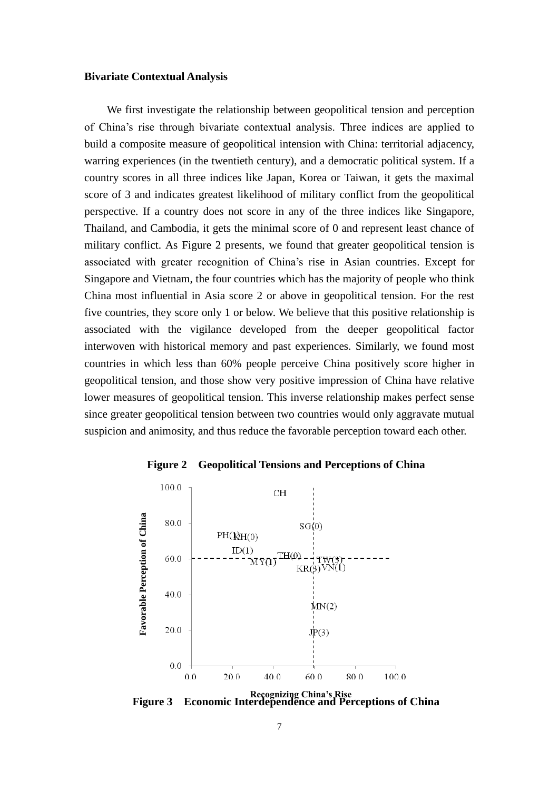#### **Bivariate Contextual Analysis**

We first investigate the relationship between geopolitical tension and perception of China's rise through bivariate contextual analysis. Three indices are applied to build a composite measure of geopolitical intension with China: territorial adjacency, warring experiences (in the twentieth century), and a democratic political system. If a country scores in all three indices like Japan, Korea or Taiwan, it gets the maximal score of 3 and indicates greatest likelihood of military conflict from the geopolitical perspective. If a country does not score in any of the three indices like Singapore, Thailand, and Cambodia, it gets the minimal score of 0 and represent least chance of military conflict. As Figure 2 presents, we found that greater geopolitical tension is associated with greater recognition of China's rise in Asian countries. Except for Singapore and Vietnam, the four countries which has the majority of people who think China most influential in Asia score 2 or above in geopolitical tension. For the rest five countries, they score only 1 or below. We believe that this positive relationship is associated with the vigilance developed from the deeper geopolitical factor interwoven with historical memory and past experiences. Similarly, we found most countries in which less than 60% people perceive China positively score higher in geopolitical tension, and those show very positive impression of China have relative lower measures of geopolitical tension. This inverse relationship makes perfect sense since greater geopolitical tension between two countries would only aggravate mutual suspicion and animosity, and thus reduce the favorable perception toward each other.





**Figure 3 Economic Interdependence and Perceptions of China Recognizing China's Rise**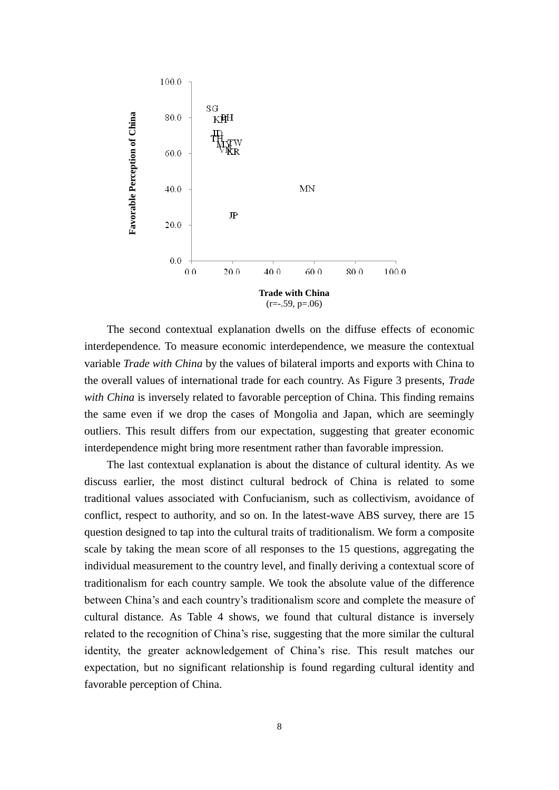

The second contextual explanation dwells on the diffuse effects of economic interdependence. To measure economic interdependence, we measure the contextual variable *Trade with China* by the values of bilateral imports and exports with China to the overall values of international trade for each country. As Figure 3 presents, *Trade with China* is inversely related to favorable perception of China. This finding remains the same even if we drop the cases of Mongolia and Japan, which are seemingly outliers. This result differs from our expectation, suggesting that greater economic interdependence might bring more resentment rather than favorable impression.

The last contextual explanation is about the distance of cultural identity. As we discuss earlier, the most distinct cultural bedrock of China is related to some traditional values associated with Confucianism, such as collectivism, avoidance of conflict, respect to authority, and so on. In the latest-wave ABS survey, there are 15 question designed to tap into the cultural traits of traditionalism. We form a composite scale by taking the mean score of all responses to the 15 questions, aggregating the individual measurement to the country level, and finally deriving a contextual score of traditionalism for each country sample. We took the absolute value of the difference between China's and each country's traditionalism score and complete the measure of cultural distance. As Table 4 shows, we found that cultural distance is inversely related to the recognition of China's rise, suggesting that the more similar the cultural identity, the greater acknowledgement of China's rise. This result matches our expectation, but no significant relationship is found regarding cultural identity and favorable perception of China.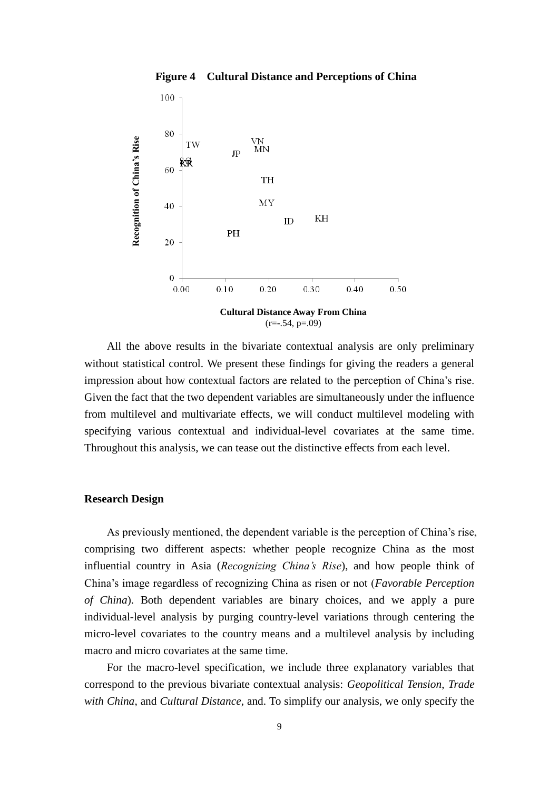



All the above results in the bivariate contextual analysis are only preliminary without statistical control. We present these findings for giving the readers a general impression about how contextual factors are related to the perception of China's rise. Given the fact that the two dependent variables are simultaneously under the influence from multilevel and multivariate effects, we will conduct multilevel modeling with specifying various contextual and individual-level covariates at the same time. Throughout this analysis, we can tease out the distinctive effects from each level.

# **Research Design**

As previously mentioned, the dependent variable is the perception of China's rise, comprising two different aspects: whether people recognize China as the most influential country in Asia (*Recognizing China's Rise*), and how people think of China's image regardless of recognizing China as risen or not (*Favorable Perception of China*). Both dependent variables are binary choices, and we apply a pure individual-level analysis by purging country-level variations through centering the micro-level covariates to the country means and a multilevel analysis by including macro and micro covariates at the same time.

For the macro-level specification, we include three explanatory variables that correspond to the previous bivariate contextual analysis: *Geopolitical Tension*, *Trade with China*, and *Cultural Distance*, and. To simplify our analysis, we only specify the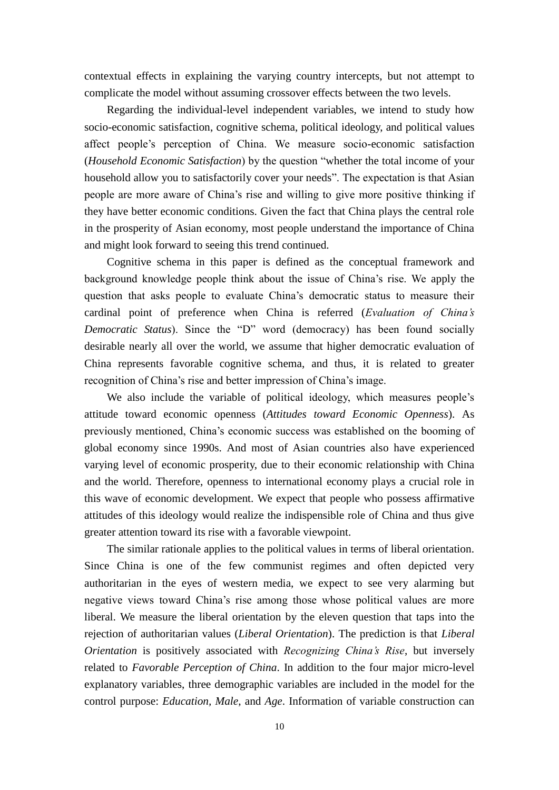contextual effects in explaining the varying country intercepts, but not attempt to complicate the model without assuming crossover effects between the two levels.

 Regarding the individual-level independent variables, we intend to study how socio-economic satisfaction, cognitive schema, political ideology, and political values affect people's perception of China. We measure socio-economic satisfaction (*Household Economic Satisfaction*) by the question "whether the total income of your household allow you to satisfactorily cover your needs". The expectation is that Asian people are more aware of China's rise and willing to give more positive thinking if they have better economic conditions. Given the fact that China plays the central role in the prosperity of Asian economy, most people understand the importance of China and might look forward to seeing this trend continued.

 Cognitive schema in this paper is defined as the conceptual framework and background knowledge people think about the issue of China's rise. We apply the question that asks people to evaluate China's democratic status to measure their cardinal point of preference when China is referred (*Evaluation of China's Democratic Status*). Since the "D" word (democracy) has been found socially desirable nearly all over the world, we assume that higher democratic evaluation of China represents favorable cognitive schema, and thus, it is related to greater recognition of China's rise and better impression of China's image.

We also include the variable of political ideology, which measures people's attitude toward economic openness (*Attitudes toward Economic Openness*). As previously mentioned, China's economic success was established on the booming of global economy since 1990s. And most of Asian countries also have experienced varying level of economic prosperity, due to their economic relationship with China and the world. Therefore, openness to international economy plays a crucial role in this wave of economic development. We expect that people who possess affirmative attitudes of this ideology would realize the indispensible role of China and thus give greater attention toward its rise with a favorable viewpoint.

The similar rationale applies to the political values in terms of liberal orientation. Since China is one of the few communist regimes and often depicted very authoritarian in the eyes of western media, we expect to see very alarming but negative views toward China's rise among those whose political values are more liberal. We measure the liberal orientation by the eleven question that taps into the rejection of authoritarian values (*Liberal Orientation*). The prediction is that *Liberal Orientation* is positively associated with *Recognizing China's Rise*, but inversely related to *Favorable Perception of China*. In addition to the four major micro-level explanatory variables, three demographic variables are included in the model for the control purpose: *Education, Male*, and *Age*. Information of variable construction can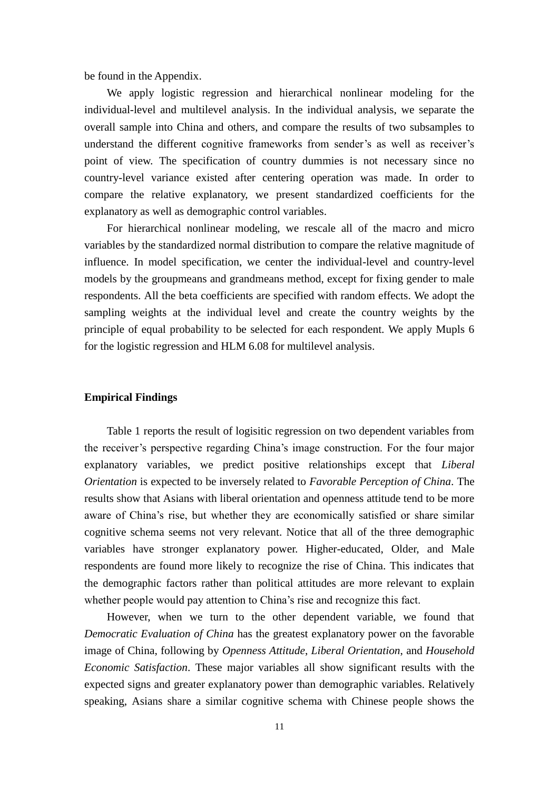be found in the Appendix.

We apply logistic regression and hierarchical nonlinear modeling for the individual-level and multilevel analysis. In the individual analysis, we separate the overall sample into China and others, and compare the results of two subsamples to understand the different cognitive frameworks from sender's as well as receiver's point of view. The specification of country dummies is not necessary since no country-level variance existed after centering operation was made. In order to compare the relative explanatory, we present standardized coefficients for the explanatory as well as demographic control variables.

 For hierarchical nonlinear modeling, we rescale all of the macro and micro variables by the standardized normal distribution to compare the relative magnitude of influence. In model specification, we center the individual-level and country-level models by the groupmeans and grandmeans method, except for fixing gender to male respondents. All the beta coefficients are specified with random effects. We adopt the sampling weights at the individual level and create the country weights by the principle of equal probability to be selected for each respondent. We apply Mupls 6 for the logistic regression and HLM 6.08 for multilevel analysis.

# **Empirical Findings**

Table 1 reports the result of logisitic regression on two dependent variables from the receiver's perspective regarding China's image construction. For the four major explanatory variables, we predict positive relationships except that *Liberal Orientation* is expected to be inversely related to *Favorable Perception of China*. The results show that Asians with liberal orientation and openness attitude tend to be more aware of China's rise, but whether they are economically satisfied or share similar cognitive schema seems not very relevant. Notice that all of the three demographic variables have stronger explanatory power. Higher-educated, Older, and Male respondents are found more likely to recognize the rise of China. This indicates that the demographic factors rather than political attitudes are more relevant to explain whether people would pay attention to China's rise and recognize this fact.

However, when we turn to the other dependent variable, we found that *Democratic Evaluation of China* has the greatest explanatory power on the favorable image of China, following by *Openness Attitude*, *Liberal Orientation*, and *Household Economic Satisfaction*. These major variables all show significant results with the expected signs and greater explanatory power than demographic variables. Relatively speaking, Asians share a similar cognitive schema with Chinese people shows the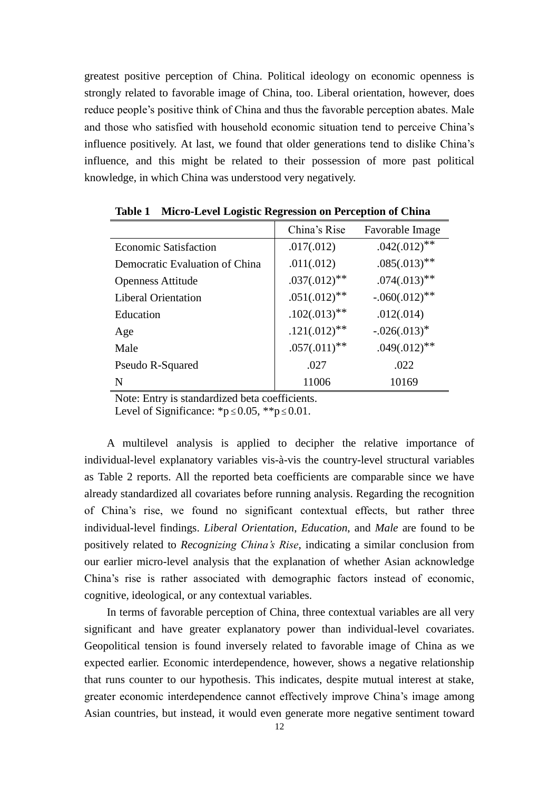greatest positive perception of China. Political ideology on economic openness is strongly related to favorable image of China, too. Liberal orientation, however, does reduce people's positive think of China and thus the favorable perception abates. Male and those who satisfied with household economic situation tend to perceive China's influence positively. At last, we found that older generations tend to dislike China's influence, and this might be related to their possession of more past political knowledge, in which China was understood very negatively.

|                                | China's Rise               | Favorable Image   |
|--------------------------------|----------------------------|-------------------|
| Economic Satisfaction          | .017(.012)                 | $.042(.012)^{**}$ |
| Democratic Evaluation of China | .011(.012)                 | $.085(.013)$ **   |
| <b>Openness Attitude</b>       | $.037(.012)$ **            | $.074(.013)$ **   |
| <b>Liberal Orientation</b>     | $.051(.012)$ **            | $-.060(.012)$ **  |
| Education                      | $.102(.013)$ **            | .012(.014)        |
| Age                            | $.121(.012)$ <sup>**</sup> | $-.026(.013)^*$   |
| Male                           | $.057(.011)$ <sup>**</sup> | $.049(.012)$ **   |
| Pseudo R-Squared               | .027                       | .022              |
| N                              | 11006                      | 10169             |

**Table 1 Micro-Level Logistic Regression on Perception of China**

Note: Entry is standardized beta coefficients.

Level of Significance:  $\mathbb{k}p \leq 0.05$ ,  $\mathbb{k} \leq p \leq 0.01$ .

A multilevel analysis is applied to decipher the relative importance of individual-level explanatory variables vis-à-vis the country-level structural variables as Table 2 reports. All the reported beta coefficients are comparable since we have already standardized all covariates before running analysis. Regarding the recognition of China's rise, we found no significant contextual effects, but rather three individual-level findings. *Liberal Orientation*, *Education*, and *Male* are found to be positively related to *Recognizing China's Rise*, indicating a similar conclusion from our earlier micro-level analysis that the explanation of whether Asian acknowledge China's rise is rather associated with demographic factors instead of economic, cognitive, ideological, or any contextual variables.

In terms of favorable perception of China, three contextual variables are all very significant and have greater explanatory power than individual-level covariates. Geopolitical tension is found inversely related to favorable image of China as we expected earlier. Economic interdependence, however, shows a negative relationship that runs counter to our hypothesis. This indicates, despite mutual interest at stake, greater economic interdependence cannot effectively improve China's image among Asian countries, but instead, it would even generate more negative sentiment toward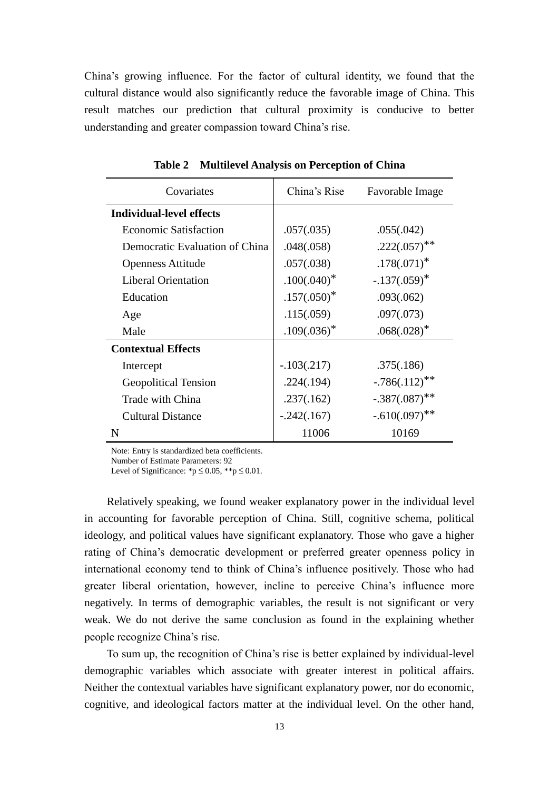China's growing influence. For the factor of cultural identity, we found that the cultural distance would also significantly reduce the favorable image of China. This result matches our prediction that cultural proximity is conducive to better understanding and greater compassion toward China's rise.

| Covariates                      | China's Rise   | Favorable Image             |  |
|---------------------------------|----------------|-----------------------------|--|
| <b>Individual-level effects</b> |                |                             |  |
| <b>Economic Satisfaction</b>    | .057(.035)     | .055(.042)                  |  |
| Democratic Evaluation of China  | .048(.058)     | $.222(.057)$ <sup>**</sup>  |  |
| <b>Openness Attitude</b>        | .057(.038)     | $.178(.071)^*$              |  |
| <b>Liberal Orientation</b>      | $.100(.040)^*$ | $-.137(.059)^*$             |  |
| Education                       | $.157(.050)^*$ | .093(.062)                  |  |
| Age                             | .115(.059)     | .097(.073)                  |  |
| Male                            | $.109(.036)^*$ | $.068(.028)*$               |  |
| <b>Contextual Effects</b>       |                |                             |  |
| Intercept                       | $-.103(.217)$  | .375(.186)                  |  |
| <b>Geopolitical Tension</b>     | .224(.194)     | $-.786(.112)$ <sup>**</sup> |  |
| Trade with China                | .237(.162)     | $-.387(.087)$ **            |  |
| <b>Cultural Distance</b>        | $-.242(.167)$  | $-.610(.097)$ <sup>**</sup> |  |
| N                               | 11006          | 10169                       |  |

**Table 2 Multilevel Analysis on Perception of China**

Note: Entry is standardized beta coefficients.

Number of Estimate Parameters: 92

Level of Significance:  $\mathbf{\hat{p}} \leq 0.05$ ,  $\mathbf{\hat{p}} \leq 0.01$ .

 Relatively speaking, we found weaker explanatory power in the individual level in accounting for favorable perception of China. Still, cognitive schema, political ideology, and political values have significant explanatory. Those who gave a higher rating of China's democratic development or preferred greater openness policy in international economy tend to think of China's influence positively. Those who had greater liberal orientation, however, incline to perceive China's influence more negatively. In terms of demographic variables, the result is not significant or very weak. We do not derive the same conclusion as found in the explaining whether people recognize China's rise.

To sum up, the recognition of China's rise is better explained by individual-level demographic variables which associate with greater interest in political affairs. Neither the contextual variables have significant explanatory power, nor do economic, cognitive, and ideological factors matter at the individual level. On the other hand,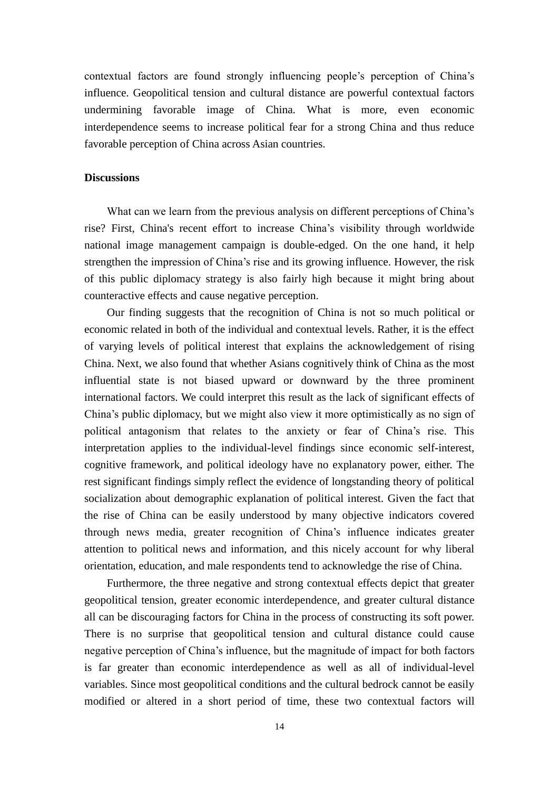contextual factors are found strongly influencing people's perception of China's influence. Geopolitical tension and cultural distance are powerful contextual factors undermining favorable image of China. What is more, even economic interdependence seems to increase political fear for a strong China and thus reduce favorable perception of China across Asian countries.

#### **Discussions**

What can we learn from the previous analysis on different perceptions of China's rise? First, China's recent effort to increase China's visibility through worldwide national image management campaign is double-edged. On the one hand, it help strengthen the impression of China's rise and its growing influence. However, the risk of this public diplomacy strategy is also fairly high because it might bring about counteractive effects and cause negative perception.

Our finding suggests that the recognition of China is not so much political or economic related in both of the individual and contextual levels. Rather, it is the effect of varying levels of political interest that explains the acknowledgement of rising China. Next, we also found that whether Asians cognitively think of China as the most influential state is not biased upward or downward by the three prominent international factors. We could interpret this result as the lack of significant effects of China's public diplomacy, but we might also view it more optimistically as no sign of political antagonism that relates to the anxiety or fear of China's rise. This interpretation applies to the individual-level findings since economic self-interest, cognitive framework, and political ideology have no explanatory power, either. The rest significant findings simply reflect the evidence of longstanding theory of political socialization about demographic explanation of political interest. Given the fact that the rise of China can be easily understood by many objective indicators covered through news media, greater recognition of China's influence indicates greater attention to political news and information, and this nicely account for why liberal orientation, education, and male respondents tend to acknowledge the rise of China.

 Furthermore, the three negative and strong contextual effects depict that greater geopolitical tension, greater economic interdependence, and greater cultural distance all can be discouraging factors for China in the process of constructing its soft power. There is no surprise that geopolitical tension and cultural distance could cause negative perception of China's influence, but the magnitude of impact for both factors is far greater than economic interdependence as well as all of individual-level variables. Since most geopolitical conditions and the cultural bedrock cannot be easily modified or altered in a short period of time, these two contextual factors will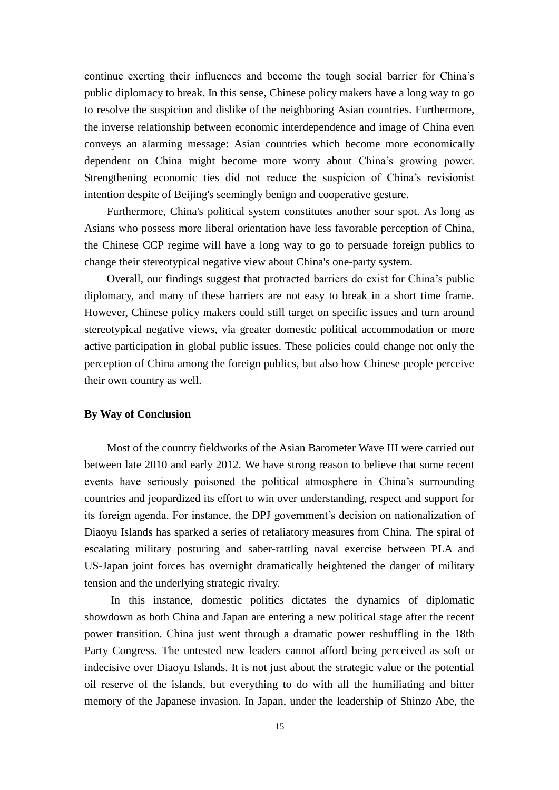continue exerting their influences and become the tough social barrier for China's public diplomacy to break. In this sense, Chinese policy makers have a long way to go to resolve the suspicion and dislike of the neighboring Asian countries. Furthermore, the inverse relationship between economic interdependence and image of China even conveys an alarming message: Asian countries which become more economically dependent on China might become more worry about China's growing power. Strengthening economic ties did not reduce the suspicion of China's revisionist intention despite of Beijing's seemingly benign and cooperative gesture.

Furthermore, China's political system constitutes another sour spot. As long as Asians who possess more liberal orientation have less favorable perception of China, the Chinese CCP regime will have a long way to go to persuade foreign publics to change their stereotypical negative view about China's one-party system.

 Overall, our findings suggest that protracted barriers do exist for China's public diplomacy, and many of these barriers are not easy to break in a short time frame. However, Chinese policy makers could still target on specific issues and turn around stereotypical negative views, via greater domestic political accommodation or more active participation in global public issues. These policies could change not only the perception of China among the foreign publics, but also how Chinese people perceive their own country as well.

# **By Way of Conclusion**

Most of the country fieldworks of the Asian Barometer Wave III were carried out between late 2010 and early 2012. We have strong reason to believe that some recent events have seriously poisoned the political atmosphere in China's surrounding countries and jeopardized its effort to win over understanding, respect and support for its foreign agenda. For instance, the DPJ government's decision on nationalization of Diaoyu Islands has sparked a series of retaliatory measures from China. The spiral of escalating military posturing and saber-rattling naval exercise between PLA and US-Japan joint forces has overnight dramatically heightened the danger of military tension and the underlying strategic rivalry.

In this instance, domestic politics dictates the dynamics of diplomatic showdown as both China and Japan are entering a new political stage after the recent power transition. China just went through a dramatic power reshuffling in the 18th Party Congress. The untested new leaders cannot afford being perceived as soft or indecisive over Diaoyu Islands. It is not just about the strategic value or the potential oil reserve of the islands, but everything to do with all the humiliating and bitter memory of the Japanese invasion. In Japan, under the leadership of Shinzo Abe, the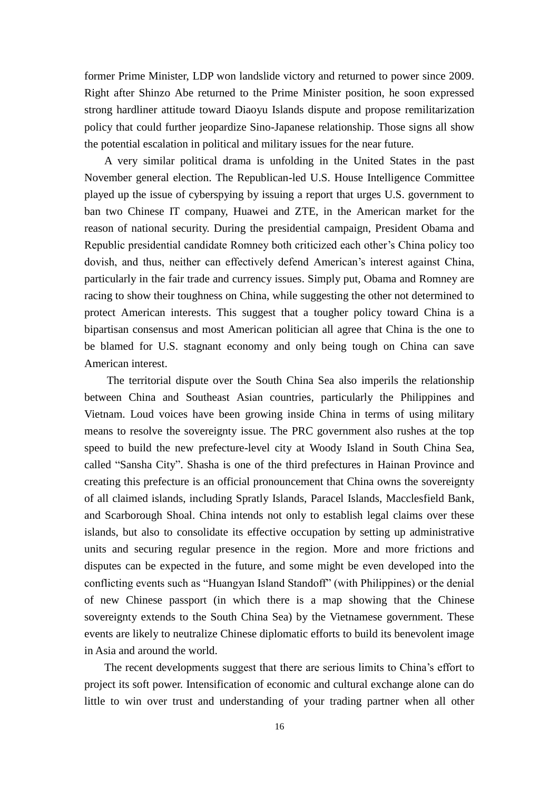former Prime Minister, LDP won landslide victory and returned to power since 2009. Right after Shinzo Abe returned to the Prime Minister position, he soon expressed strong hardliner attitude toward Diaoyu Islands dispute and propose remilitarization policy that could further jeopardize Sino-Japanese relationship. Those signs all show the potential escalation in political and military issues for the near future.

A very similar political drama is unfolding in the United States in the past November general election. The Republican-led U.S. House Intelligence Committee played up the issue of cyberspying by issuing a report that urges U.S. government to ban two Chinese IT company, Huawei and ZTE, in the American market for the reason of national security. During the presidential campaign, President Obama and Republic presidential candidate Romney both criticized each other's China policy too dovish, and thus, neither can effectively defend American's interest against China, particularly in the fair trade and currency issues. Simply put, Obama and Romney are racing to show their toughness on China, while suggesting the other not determined to protect American interests. This suggest that a tougher policy toward China is a bipartisan consensus and most American politician all agree that China is the one to be blamed for U.S. stagnant economy and only being tough on China can save American interest.

 The territorial dispute over the South China Sea also imperils the relationship between China and Southeast Asian countries, particularly the Philippines and Vietnam. Loud voices have been growing inside China in terms of using military means to resolve the sovereignty issue. The PRC government also rushes at the top speed to build the new prefecture-level city at Woody Island in South China Sea, called "Sansha City". Shasha is one of the third prefectures in Hainan Province and creating this prefecture is an official pronouncement that China owns the sovereignty of all claimed islands, including Spratly Islands, Paracel Islands, Macclesfield Bank, and Scarborough Shoal. China intends not only to establish legal claims over these islands, but also to consolidate its effective occupation by setting up administrative units and securing regular presence in the region. More and more frictions and disputes can be expected in the future, and some might be even developed into the conflicting events such as "Huangyan Island Standoff" (with Philippines) or the denial of new Chinese passport (in which there is a map showing that the Chinese sovereignty extends to the South China Sea) by the Vietnamese government. These events are likely to neutralize Chinese diplomatic efforts to build its benevolent image in Asia and around the world.

The recent developments suggest that there are serious limits to China's effort to project its soft power. Intensification of economic and cultural exchange alone can do little to win over trust and understanding of your trading partner when all other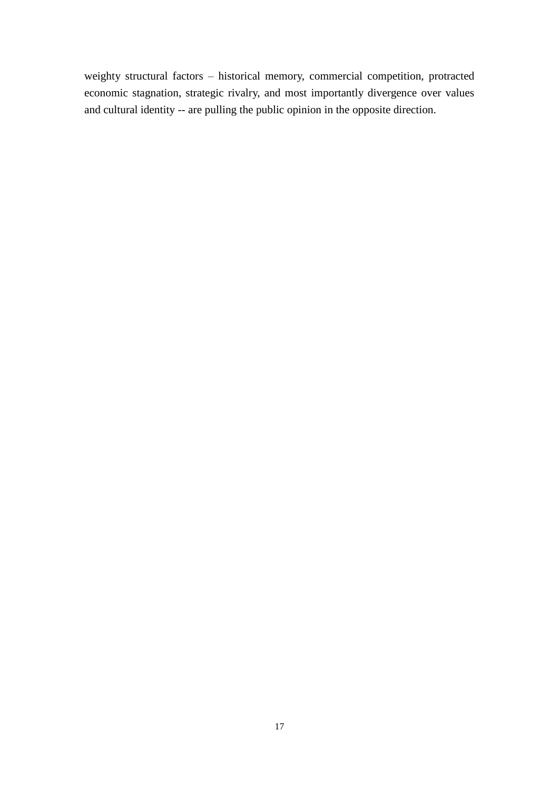weighty structural factors – historical memory, commercial competition, protracted economic stagnation, strategic rivalry, and most importantly divergence over values and cultural identity -- are pulling the public opinion in the opposite direction.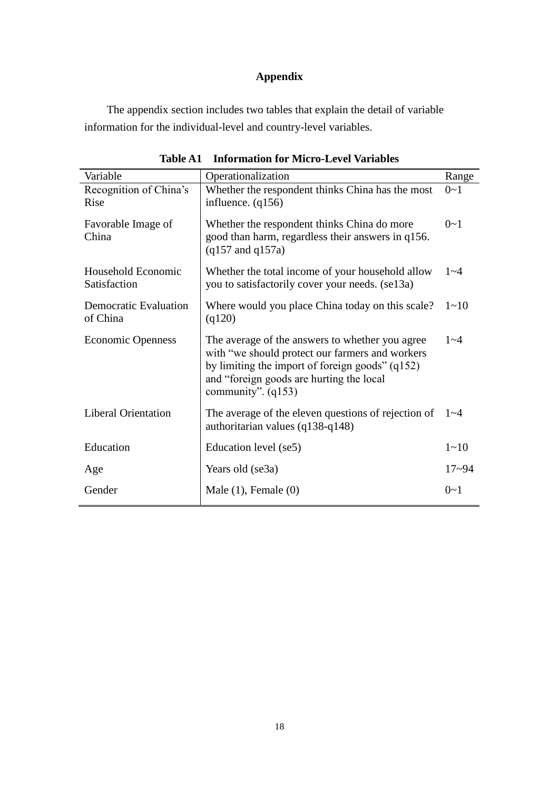# **Appendix**

The appendix section includes two tables that explain the detail of variable information for the individual-level and country-level variables.

| Variable                                 | Operationalization                                                                                                                                                                                                          | Range     |
|------------------------------------------|-----------------------------------------------------------------------------------------------------------------------------------------------------------------------------------------------------------------------------|-----------|
| Recognition of China's<br>Rise           | Whether the respondent thinks China has the most<br>influence. $(q156)$                                                                                                                                                     | $0 - 1$   |
| Favorable Image of<br>China              | Whether the respondent thinks China do more<br>good than harm, regardless their answers in q156.<br>$(q157 \text{ and } q157a)$                                                                                             | $0 - 1$   |
| Household Economic<br>Satisfaction       | Whether the total income of your household allow<br>you to satisfactorily cover your needs. (se13a)                                                                                                                         |           |
| <b>Democratic Evaluation</b><br>of China | Where would you place China today on this scale?<br>(q120)                                                                                                                                                                  | $1 - 10$  |
| <b>Economic Openness</b>                 | The average of the answers to whether you agree<br>with "we should protect our farmers and workers<br>by limiting the import of foreign goods" $(q152)$<br>and "foreign goods are hurting the local<br>community". $(q153)$ | $1 - 4$   |
| <b>Liberal Orientation</b>               | The average of the eleven questions of rejection of<br>authoritarian values (q138-q148)                                                                                                                                     | $1 - 4$   |
| Education                                | Education level (se5)                                                                                                                                                                                                       | $1 - 10$  |
| Age                                      | Years old (se3a)                                                                                                                                                                                                            | $17 - 94$ |
| Gender                                   | Male $(1)$ , Female $(0)$                                                                                                                                                                                                   | $0 - 1$   |

**Table A1 Information for Micro-Level Variables**